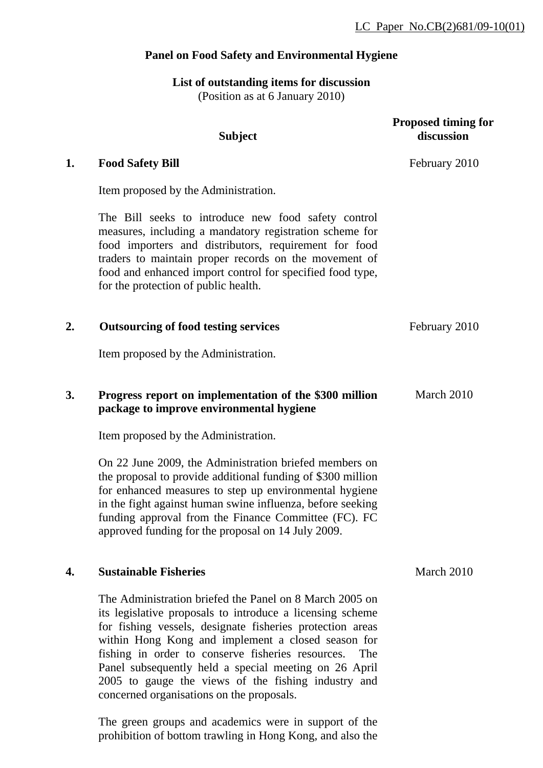# **Panel on Food Safety and Environmental Hygiene**

## **List of outstanding items for discussion** (Position as at 6 January 2010)

|    | <b>Subject</b>                                                                                                                                                                                                                                                                                                                                                                                                                                                   | <b>Proposed timing for</b><br>discussion |
|----|------------------------------------------------------------------------------------------------------------------------------------------------------------------------------------------------------------------------------------------------------------------------------------------------------------------------------------------------------------------------------------------------------------------------------------------------------------------|------------------------------------------|
| 1. | <b>Food Safety Bill</b>                                                                                                                                                                                                                                                                                                                                                                                                                                          | February 2010                            |
|    | Item proposed by the Administration.                                                                                                                                                                                                                                                                                                                                                                                                                             |                                          |
|    | The Bill seeks to introduce new food safety control<br>measures, including a mandatory registration scheme for<br>food importers and distributors, requirement for food<br>traders to maintain proper records on the movement of<br>food and enhanced import control for specified food type,<br>for the protection of public health.                                                                                                                            |                                          |
| 2. | <b>Outsourcing of food testing services</b>                                                                                                                                                                                                                                                                                                                                                                                                                      | February 2010                            |
|    | Item proposed by the Administration.                                                                                                                                                                                                                                                                                                                                                                                                                             |                                          |
| 3. | Progress report on implementation of the \$300 million<br>package to improve environmental hygiene                                                                                                                                                                                                                                                                                                                                                               | March 2010                               |
|    | Item proposed by the Administration.                                                                                                                                                                                                                                                                                                                                                                                                                             |                                          |
|    | On 22 June 2009, the Administration briefed members on<br>the proposal to provide additional funding of \$300 million<br>for enhanced measures to step up environmental hygiene<br>in the fight against human swine influenza, before seeking<br>funding approval from the Finance Committee (FC). FC<br>approved funding for the proposal on 14 July 2009.                                                                                                      |                                          |
| 4. | <b>Sustainable Fisheries</b>                                                                                                                                                                                                                                                                                                                                                                                                                                     | March 2010                               |
|    | The Administration briefed the Panel on 8 March 2005 on<br>its legislative proposals to introduce a licensing scheme<br>for fishing vessels, designate fisheries protection areas<br>within Hong Kong and implement a closed season for<br>fishing in order to conserve fisheries resources.<br>The<br>Panel subsequently held a special meeting on 26 April<br>2005 to gauge the views of the fishing industry and<br>concerned organisations on the proposals. |                                          |

The green groups and academics were in support of the prohibition of bottom trawling in Hong Kong, and also the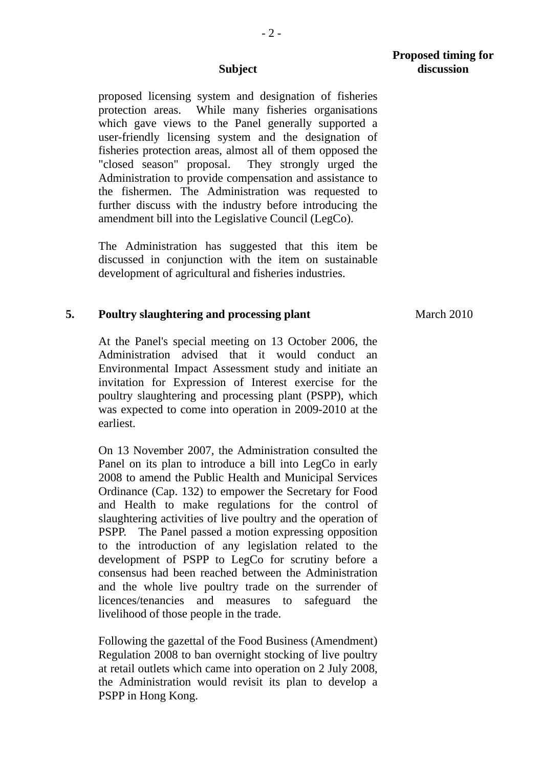proposed licensing system and designation of fisheries protection areas. While many fisheries organisations which gave views to the Panel generally supported a user-friendly licensing system and the designation of fisheries protection areas, almost all of them opposed the "closed season" proposal. They strongly urged the Administration to provide compensation and assistance to the fishermen. The Administration was requested to further discuss with the industry before introducing the amendment bill into the Legislative Council (LegCo).

 The Administration has suggested that this item be discussed in conjunction with the item on sustainable development of agricultural and fisheries industries.

## **5. Poultry slaughtering and processing plant**

At the Panel's special meeting on 13 October 2006, the Administration advised that it would conduct an Environmental Impact Assessment study and initiate an invitation for Expression of Interest exercise for the poultry slaughtering and processing plant (PSPP), which was expected to come into operation in 2009-2010 at the earliest.

On 13 November 2007, the Administration consulted the Panel on its plan to introduce a bill into LegCo in early 2008 to amend the Public Health and Municipal Services Ordinance (Cap. 132) to empower the Secretary for Food and Health to make regulations for the control of slaughtering activities of live poultry and the operation of PSPP. The Panel passed a motion expressing opposition to the introduction of any legislation related to the development of PSPP to LegCo for scrutiny before a consensus had been reached between the Administration and the whole live poultry trade on the surrender of licences/tenancies and measures to safeguard the livelihood of those people in the trade.

Following the gazettal of the Food Business (Amendment) Regulation 2008 to ban overnight stocking of live poultry at retail outlets which came into operation on 2 July 2008, the Administration would revisit its plan to develop a PSPP in Hong Kong.

March 2010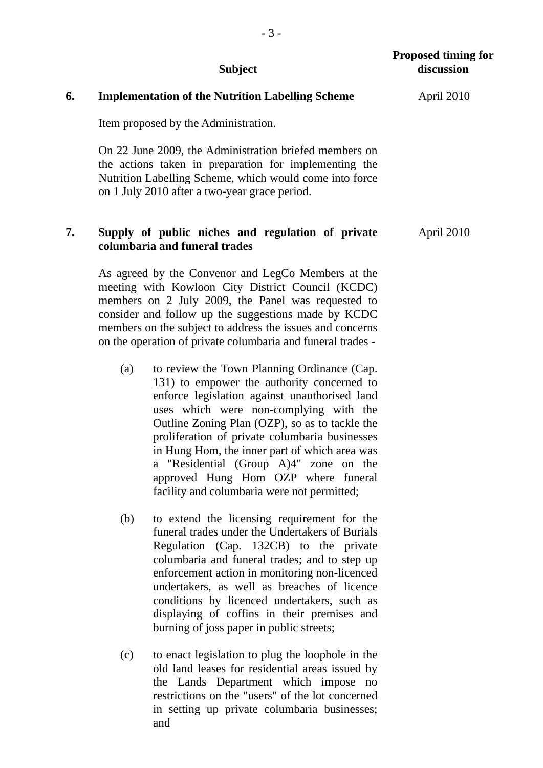# **6. Implementation of the Nutrition Labelling Scheme**

Item proposed by the Administration.

On 22 June 2009, the Administration briefed members on the actions taken in preparation for implementing the Nutrition Labelling Scheme, which would come into force on 1 July 2010 after a two-year grace period.

## **7. Supply of public niches and regulation of private columbaria and funeral trades**

As agreed by the Convenor and LegCo Members at the meeting with Kowloon City District Council (KCDC) members on 2 July 2009, the Panel was requested to consider and follow up the suggestions made by KCDC members on the subject to address the issues and concerns on the operation of private columbaria and funeral trades -

- (a) to review the Town Planning Ordinance (Cap. 131) to empower the authority concerned to enforce legislation against unauthorised land uses which were non-complying with the Outline Zoning Plan (OZP), so as to tackle the proliferation of private columbaria businesses in Hung Hom, the inner part of which area was a "Residential (Group A)4" zone on the approved Hung Hom OZP where funeral facility and columbaria were not permitted;
- (b) to extend the licensing requirement for the funeral trades under the Undertakers of Burials Regulation (Cap. 132CB) to the private columbaria and funeral trades; and to step up enforcement action in monitoring non-licenced undertakers, as well as breaches of licence conditions by licenced undertakers, such as displaying of coffins in their premises and burning of joss paper in public streets;
- (c) to enact legislation to plug the loophole in the old land leases for residential areas issued by the Lands Department which impose no restrictions on the "users" of the lot concerned in setting up private columbaria businesses; and

April 2010

April 2010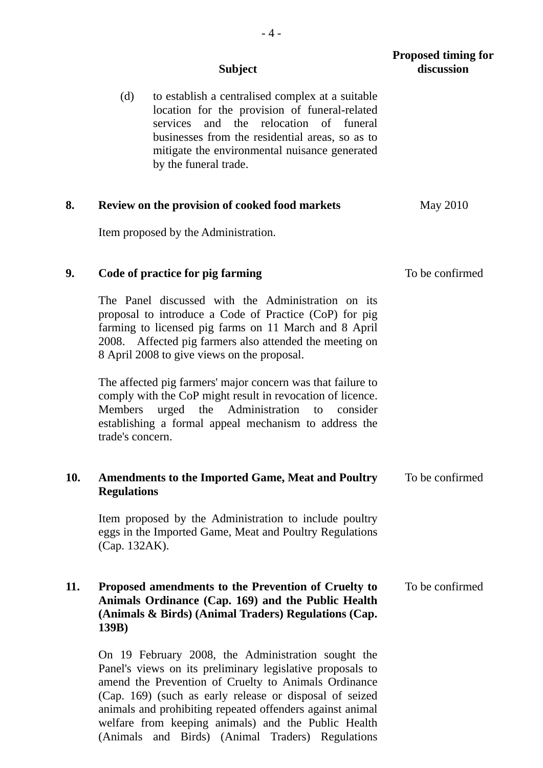|     | <b>Subject</b>                                                                                                                                                                                                                                                                                                                                         | <b>Proposed timing for</b><br>discussion |
|-----|--------------------------------------------------------------------------------------------------------------------------------------------------------------------------------------------------------------------------------------------------------------------------------------------------------------------------------------------------------|------------------------------------------|
|     | (d)<br>to establish a centralised complex at a suitable<br>location for the provision of funeral-related<br>services and the relocation of funeral<br>businesses from the residential areas, so as to<br>mitigate the environmental nuisance generated<br>by the funeral trade.                                                                        |                                          |
| 8.  | <b>Review on the provision of cooked food markets</b>                                                                                                                                                                                                                                                                                                  | May 2010                                 |
|     | Item proposed by the Administration.                                                                                                                                                                                                                                                                                                                   |                                          |
| 9.  | Code of practice for pig farming                                                                                                                                                                                                                                                                                                                       | To be confirmed                          |
|     | The Panel discussed with the Administration on its<br>proposal to introduce a Code of Practice (CoP) for pig<br>farming to licensed pig farms on 11 March and 8 April<br>2008. Affected pig farmers also attended the meeting on<br>8 April 2008 to give views on the proposal.                                                                        |                                          |
|     | The affected pig farmers' major concern was that failure to<br>comply with the CoP might result in revocation of licence.<br>Administration<br>urged<br>the<br><b>Members</b><br>to<br>consider<br>establishing a formal appeal mechanism to address the<br>trade's concern.                                                                           |                                          |
| 10. | <b>Amendments to the Imported Game, Meat and Poultry</b><br><b>Regulations</b>                                                                                                                                                                                                                                                                         | To be confirmed                          |
|     | Item proposed by the Administration to include poultry<br>eggs in the Imported Game, Meat and Poultry Regulations<br>(Cap. 132AK).                                                                                                                                                                                                                     |                                          |
| 11. | Proposed amendments to the Prevention of Cruelty to<br>Animals Ordinance (Cap. 169) and the Public Health<br>(Animals & Birds) (Animal Traders) Regulations (Cap.<br>139B)                                                                                                                                                                             | To be confirmed                          |
|     | On 19 February 2008, the Administration sought the<br>Panel's views on its preliminary legislative proposals to<br>amend the Prevention of Cruelty to Animals Ordinance<br>(Cap. 169) (such as early release or disposal of seized<br>animals and prohibiting repeated offenders against animal<br>welfare from keeping animals) and the Public Health |                                          |

(Animals and Birds) (Animal Traders) Regulations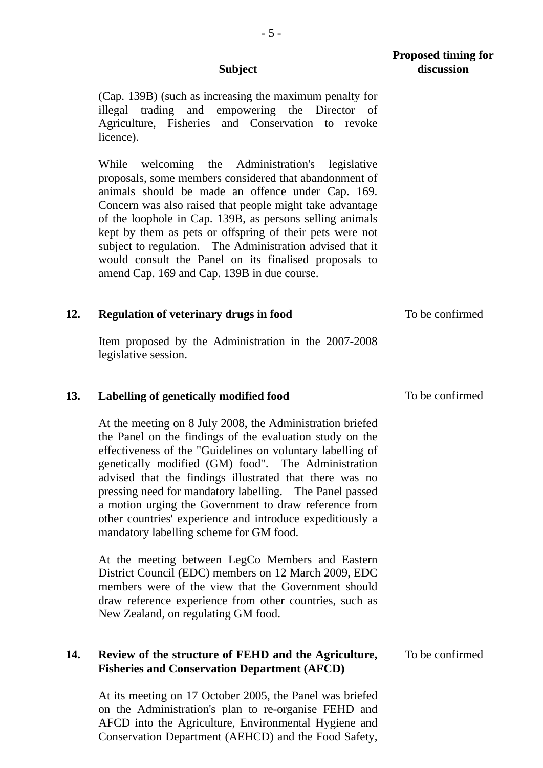- 5 -

(Cap. 139B) (such as increasing the maximum penalty for illegal trading and empowering the Director of Agriculture, Fisheries and Conservation to revoke licence).

While welcoming the Administration's legislative proposals, some members considered that abandonment of animals should be made an offence under Cap. 169. Concern was also raised that people might take advantage of the loophole in Cap. 139B, as persons selling animals kept by them as pets or offspring of their pets were not subject to regulation. The Administration advised that it would consult the Panel on its finalised proposals to amend Cap. 169 and Cap. 139B in due course.

## **12. Regulation of veterinary drugs in food**

Item proposed by the Administration in the 2007-2008 legislative session.

#### **13. Labelling of genetically modified food**

At the meeting on 8 July 2008, the Administration briefed the Panel on the findings of the evaluation study on the effectiveness of the "Guidelines on voluntary labelling of genetically modified (GM) food". The Administration advised that the findings illustrated that there was no pressing need for mandatory labelling. The Panel passed a motion urging the Government to draw reference from other countries' experience and introduce expeditiously a mandatory labelling scheme for GM food.

At the meeting between LegCo Members and Eastern District Council (EDC) members on 12 March 2009, EDC members were of the view that the Government should draw reference experience from other countries, such as New Zealand, on regulating GM food.

## **14. Review of the structure of FEHD and the Agriculture, Fisheries and Conservation Department (AFCD)**

At its meeting on 17 October 2005, the Panel was briefed on the Administration's plan to re-organise FEHD and AFCD into the Agriculture, Environmental Hygiene and Conservation Department (AEHCD) and the Food Safety, To be confirmed

To be confirmed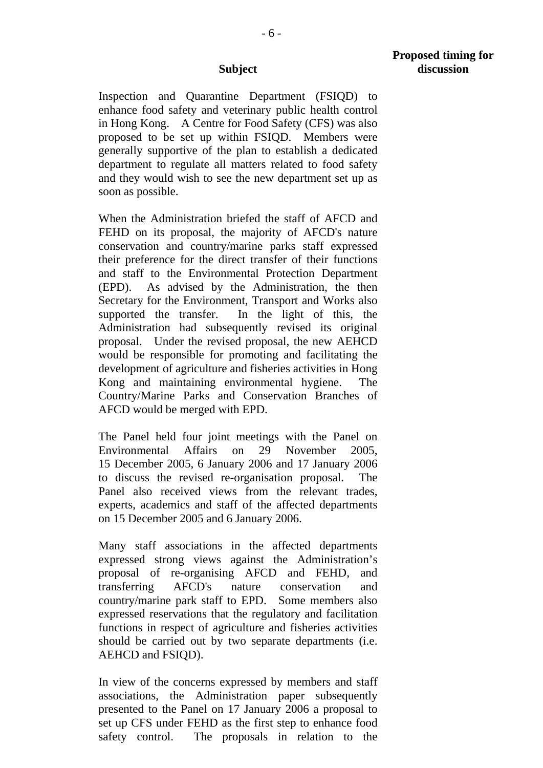Inspection and Quarantine Department (FSIQD) to enhance food safety and veterinary public health control in Hong Kong. A Centre for Food Safety (CFS) was also proposed to be set up within FSIQD. Members were generally supportive of the plan to establish a dedicated department to regulate all matters related to food safety and they would wish to see the new department set up as soon as possible.

When the Administration briefed the staff of AFCD and FEHD on its proposal, the majority of AFCD's nature conservation and country/marine parks staff expressed their preference for the direct transfer of their functions and staff to the Environmental Protection Department (EPD). As advised by the Administration, the then Secretary for the Environment, Transport and Works also supported the transfer. In the light of this, the Administration had subsequently revised its original proposal. Under the revised proposal, the new AEHCD would be responsible for promoting and facilitating the development of agriculture and fisheries activities in Hong Kong and maintaining environmental hygiene. The Country/Marine Parks and Conservation Branches of AFCD would be merged with EPD.

The Panel held four joint meetings with the Panel on Environmental Affairs on 29 November 2005, 15 December 2005, 6 January 2006 and 17 January 2006 to discuss the revised re-organisation proposal. The Panel also received views from the relevant trades, experts, academics and staff of the affected departments on 15 December 2005 and 6 January 2006.

Many staff associations in the affected departments expressed strong views against the Administration's proposal of re-organising AFCD and FEHD, and transferring AFCD's nature conservation and country/marine park staff to EPD. Some members also expressed reservations that the regulatory and facilitation functions in respect of agriculture and fisheries activities should be carried out by two separate departments (i.e. AEHCD and FSIQD).

In view of the concerns expressed by members and staff associations, the Administration paper subsequently presented to the Panel on 17 January 2006 a proposal to set up CFS under FEHD as the first step to enhance food safety control. The proposals in relation to the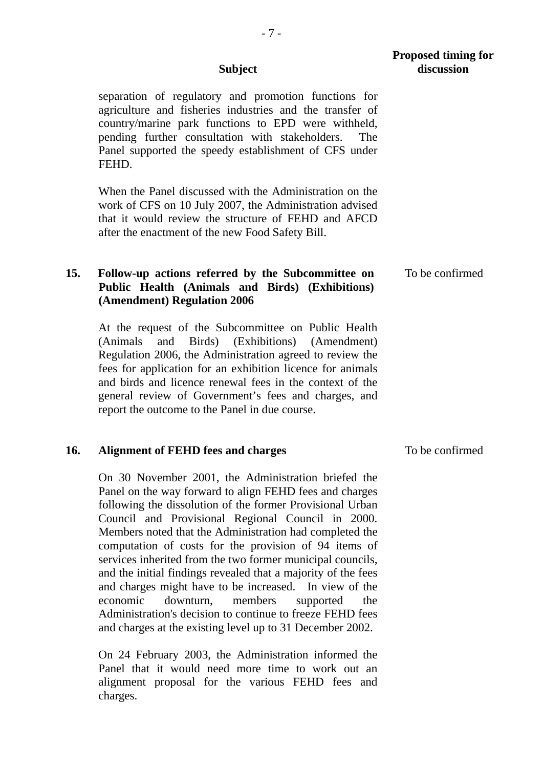separation of regulatory and promotion functions for agriculture and fisheries industries and the transfer of country/marine park functions to EPD were withheld, pending further consultation with stakeholders. The Panel supported the speedy establishment of CFS under FEHD.

When the Panel discussed with the Administration on the work of CFS on 10 July 2007, the Administration advised that it would review the structure of FEHD and AFCD after the enactment of the new Food Safety Bill.

#### **15. Follow-up actions referred by the Subcommittee on Public Health (Animals and Birds) (Exhibitions) (Amendment) Regulation 2006**  To be confirmed

At the request of the Subcommittee on Public Health (Animals and Birds) (Exhibitions) (Amendment) Regulation 2006, the Administration agreed to review the fees for application for an exhibition licence for animals and birds and licence renewal fees in the context of the general review of Government's fees and charges, and report the outcome to the Panel in due course.

## **16. Alignment of FEHD fees and charges**

On 30 November 2001, the Administration briefed the Panel on the way forward to align FEHD fees and charges following the dissolution of the former Provisional Urban Council and Provisional Regional Council in 2000. Members noted that the Administration had completed the computation of costs for the provision of 94 items of services inherited from the two former municipal councils, and the initial findings revealed that a majority of the fees and charges might have to be increased. In view of the economic downturn, members supported the Administration's decision to continue to freeze FEHD fees and charges at the existing level up to 31 December 2002.

On 24 February 2003, the Administration informed the Panel that it would need more time to work out an alignment proposal for the various FEHD fees and charges.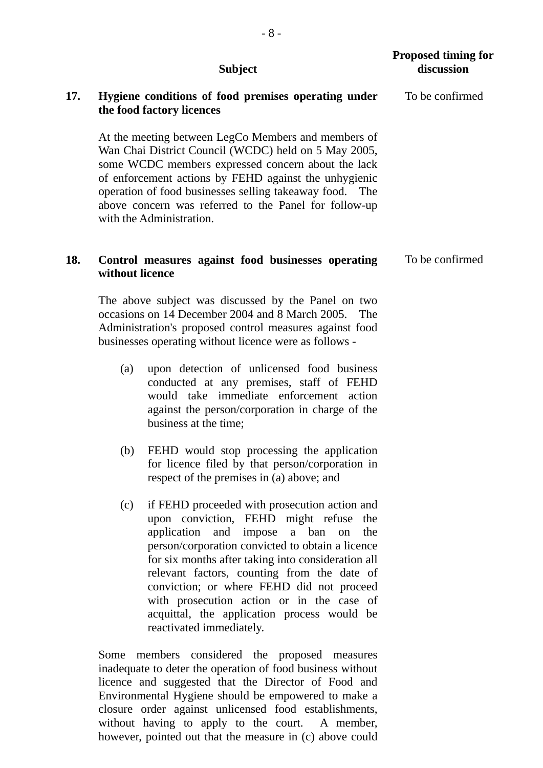|     | <b>Subject</b>                                                                                                                                                                                                                                                                                                                                                                                                                                                                  | <b>Proposed timing for</b><br>discussion |
|-----|---------------------------------------------------------------------------------------------------------------------------------------------------------------------------------------------------------------------------------------------------------------------------------------------------------------------------------------------------------------------------------------------------------------------------------------------------------------------------------|------------------------------------------|
| 17. | Hygiene conditions of food premises operating under<br>the food factory licences                                                                                                                                                                                                                                                                                                                                                                                                | To be confirmed                          |
|     | At the meeting between LegCo Members and members of<br>Wan Chai District Council (WCDC) held on 5 May 2005,<br>some WCDC members expressed concern about the lack<br>of enforcement actions by FEHD against the unhygienic<br>operation of food businesses selling takeaway food. The<br>above concern was referred to the Panel for follow-up<br>with the Administration.                                                                                                      |                                          |
| 18. | Control measures against food businesses operating<br>without licence                                                                                                                                                                                                                                                                                                                                                                                                           | To be confirmed                          |
|     | The above subject was discussed by the Panel on two<br>occasions on 14 December 2004 and 8 March 2005.<br>The<br>Administration's proposed control measures against food<br>businesses operating without licence were as follows -                                                                                                                                                                                                                                              |                                          |
|     | upon detection of unlicensed food business<br>(a)<br>conducted at any premises, staff of FEHD<br>would take immediate enforcement action<br>against the person/corporation in charge of the<br>business at the time;                                                                                                                                                                                                                                                            |                                          |
|     | FEHD would stop processing the application<br>(b)<br>for licence filed by that person/corporation in<br>respect of the premises in (a) above; and                                                                                                                                                                                                                                                                                                                               |                                          |
|     | if FEHD proceeded with prosecution action and<br>(c)<br>upon conviction, FEHD might refuse<br>the<br>application and impose<br>a ban<br>the<br>on<br>person/corporation convicted to obtain a licence<br>for six months after taking into consideration all<br>relevant factors, counting from the date of<br>conviction; or where FEHD did not proceed<br>with prosecution action or in the case of<br>acquittal, the application process would be<br>reactivated immediately. |                                          |
|     | Some members considered the proposed measures<br>inadequate to deter the operation of food business without<br>licence and suggested that the Director of Food and<br>Environmental Hygiene should be empowered to make a                                                                                                                                                                                                                                                       |                                          |

closure order against unlicensed food establishments, without having to apply to the court. A member, however, pointed out that the measure in (c) above could

- 8 -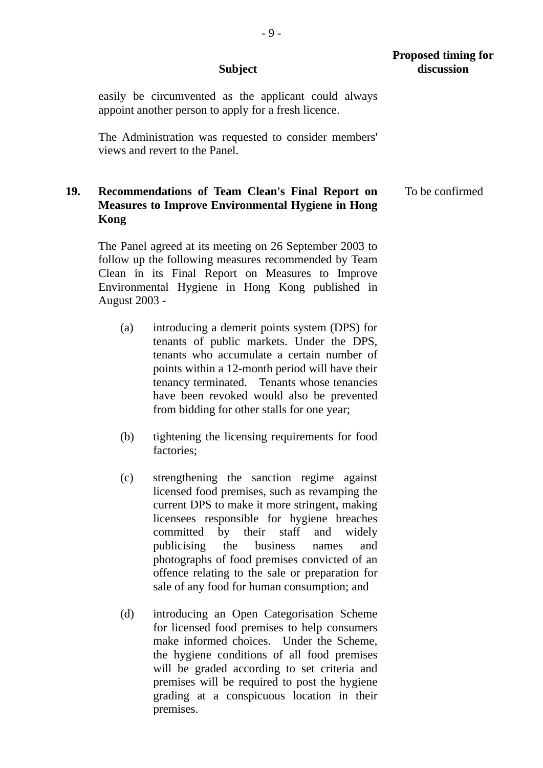easily be circumvented as the applicant could always appoint another person to apply for a fresh licence.

 The Administration was requested to consider members' views and revert to the Panel.

# **19. Recommendations of Team Clean's Final Report on Measures to Improve Environmental Hygiene in Hong Kong**

 The Panel agreed at its meeting on 26 September 2003 to follow up the following measures recommended by Team Clean in its Final Report on Measures to Improve Environmental Hygiene in Hong Kong published in August 2003 -

- (a) introducing a demerit points system (DPS) for tenants of public markets. Under the DPS, tenants who accumulate a certain number of points within a 12-month period will have their tenancy terminated. Tenants whose tenancies have been revoked would also be prevented from bidding for other stalls for one year;
- (b) tightening the licensing requirements for food factories;
- (c) strengthening the sanction regime against licensed food premises, such as revamping the current DPS to make it more stringent, making licensees responsible for hygiene breaches committed by their staff and widely publicising the business names and photographs of food premises convicted of an offence relating to the sale or preparation for sale of any food for human consumption; and
- (d) introducing an Open Categorisation Scheme for licensed food premises to help consumers make informed choices. Under the Scheme, the hygiene conditions of all food premises will be graded according to set criteria and premises will be required to post the hygiene grading at a conspicuous location in their premises.